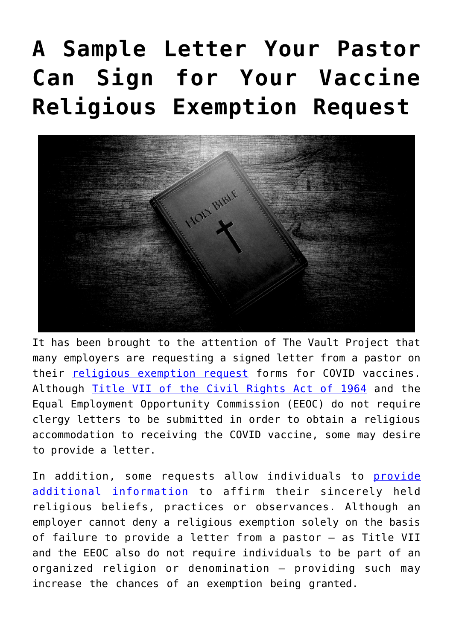## **[A Sample Letter Your Pastor](https://thevaultproject.org/a-sample-religious-exemption-letter-for-your-pastor/) [Can Sign for Your Vaccine](https://thevaultproject.org/a-sample-religious-exemption-letter-for-your-pastor/) [Religious Exemption Request](https://thevaultproject.org/a-sample-religious-exemption-letter-for-your-pastor/)**



It has been brought to the attention of The Vault Project that many employers are requesting a signed letter from a pastor on their [religious exemption request](https://thevaultproject.org/a-template-for-your-employers-request-for-a-religious-exemption-to-the-covid-19-vaccination-form/) forms for COVID vaccines. Although [Title VII of the Civil Rights Act of 1964](https://www.eeoc.gov/statutes/title-vii-civil-rights-act-1964) and the Equal Employment Opportunity Commission (EEOC) do not require clergy letters to be submitted in order to obtain a religious accommodation to receiving the COVID vaccine, some may desire to provide a letter.

In addition, some requests allow individuals to [provide](https://thevaultproject.org/a-template-for-your-employers-request-for-a-religious-exemption-to-the-covid-19-vaccination-form/) [additional information](https://thevaultproject.org/a-template-for-your-employers-request-for-a-religious-exemption-to-the-covid-19-vaccination-form/) to affirm their sincerely held religious beliefs, practices or observances. Although an employer cannot deny a religious exemption solely on the basis of failure to provide a letter from a pastor — as Title VII and the EEOC also do not require individuals to be part of an organized religion or denomination — providing such may increase the chances of an exemption being granted.